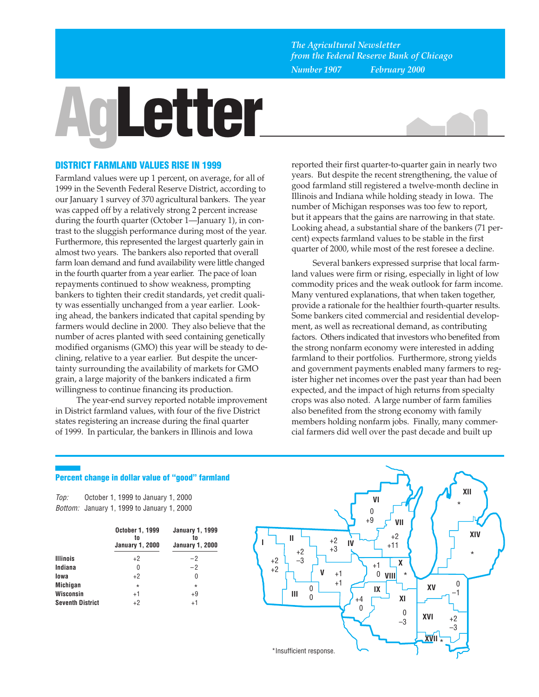*The Agricultural Newsletter from the Federal Reserve Bank of Chicago Number 1907 February 2000*

# **Letter**



# **DISTRICT FARMLAND VALUES RISE IN 1999**

Farmland values were up 1 percent, on average, for all of 1999 in the Seventh Federal Reserve District, according to our January 1 survey of 370 agricultural bankers. The year was capped off by a relatively strong 2 percent increase during the fourth quarter (October 1—January 1), in contrast to the sluggish performance during most of the year. Furthermore, this represented the largest quarterly gain in almost two years. The bankers also reported that overall farm loan demand and fund availability were little changed in the fourth quarter from a year earlier. The pace of loan repayments continued to show weakness, prompting bankers to tighten their credit standards, yet credit quality was essentially unchanged from a year earlier. Looking ahead, the bankers indicated that capital spending by farmers would decline in 2000. They also believe that the number of acres planted with seed containing genetically modified organisms (GMO) this year will be steady to declining, relative to a year earlier. But despite the uncertainty surrounding the availability of markets for GMO grain, a large majority of the bankers indicated a firm willingness to continue financing its production.

The year-end survey reported notable improvement in District farmland values, with four of the five District states registering an increase during the final quarter of 1999. In particular, the bankers in Illinois and Iowa

reported their first quarter-to-quarter gain in nearly two years. But despite the recent strengthening, the value of good farmland still registered a twelve-month decline in Illinois and Indiana while holding steady in Iowa. The number of Michigan responses was too few to report, but it appears that the gains are narrowing in that state. Looking ahead, a substantial share of the bankers (71 percent) expects farmland values to be stable in the first quarter of 2000, while most of the rest foresee a decline.

Several bankers expressed surprise that local farmland values were firm or rising, especially in light of low commodity prices and the weak outlook for farm income. Many ventured explanations, that when taken together, provide a rationale for the healthier fourth-quarter results. Some bankers cited commercial and residential development, as well as recreational demand, as contributing factors. Others indicated that investors who benefited from the strong nonfarm economy were interested in adding farmland to their portfolios. Furthermore, strong yields and government payments enabled many farmers to register higher net incomes over the past year than had been expected, and the impact of high returns from specialty crops was also noted. A large number of farm families also benefited from the strong economy with family members holding nonfarm jobs. Finally, many commercial farmers did well over the past decade and built up

### **Percent change in dollar value of "good" farmland**

Top: Bottom: January 1, 1999 to January 1, 2000 October 1, 1999 to January 1, 2000

|                         | October 1, 1999<br>to<br><b>January 1, 2000</b> | <b>January 1, 1999</b><br>tn<br><b>January 1, 2000</b> |  |  |
|-------------------------|-------------------------------------------------|--------------------------------------------------------|--|--|
| <b>Illinois</b>         | $+2$                                            | -2                                                     |  |  |
| Indiana                 | O                                               | $-2$                                                   |  |  |
| lowa                    | $+2$                                            | O                                                      |  |  |
| <b>Michigan</b>         | $\star$                                         | $\star$                                                |  |  |
| Wisconsin               | $+1$                                            | +9                                                     |  |  |
| <b>Seventh District</b> | $+2$                                            | $+1$                                                   |  |  |

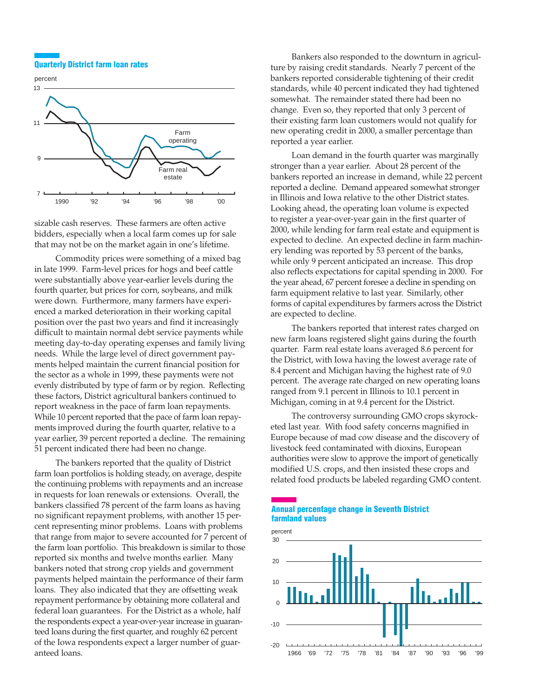#### **Quarterly District farm loan rates**



sizable cash reserves. These farmers are often active bidders, especially when a local farm comes up for sale that may not be on the market again in one's lifetime.

Commodity prices were something of a mixed bag in late 1999. Farm-level prices for hogs and beef cattle were substantially above year-earlier levels during the fourth quarter, but prices for corn, soybeans, and milk were down. Furthermore, many farmers have experienced a marked deterioration in their working capital position over the past two years and find it increasingly difficult to maintain normal debt service payments while meeting day-to-day operating expenses and family living needs. While the large level of direct government payments helped maintain the current financial position for the sector as a whole in 1999, these payments were not evenly distributed by type of farm or by region. Reflecting these factors, District agricultural bankers continued to report weakness in the pace of farm loan repayments. While 10 percent reported that the pace of farm loan repayments improved during the fourth quarter, relative to a year earlier, 39 percent reported a decline. The remaining 51 percent indicated there had been no change.

The bankers reported that the quality of District farm loan portfolios is holding steady, on average, despite the continuing problems with repayments and an increase in requests for loan renewals or extensions. Overall, the bankers classified 78 percent of the farm loans as having no significant repayment problems, with another 15 percent representing minor problems. Loans with problems that range from major to severe accounted for 7 percent of the farm loan portfolio. This breakdown is similar to those reported six months and twelve months earlier. Many bankers noted that strong crop yields and government payments helped maintain the performance of their farm loans. They also indicated that they are offsetting weak repayment performance by obtaining more collateral and federal loan guarantees. For the District as a whole, half the respondents expect a year-over-year increase in guaranteed loans during the first quarter, and roughly 62 percent of the Iowa respondents expect a larger number of guaranteed loans.

Bankers also responded to the downturn in agriculture by raising credit standards. Nearly 7 percent of the bankers reported considerable tightening of their credit standards, while 40 percent indicated they had tightened somewhat. The remainder stated there had been no change. Even so, they reported that only 3 percent of their existing farm loan customers would not qualify for new operating credit in 2000, a smaller percentage than reported a year earlier.

Loan demand in the fourth quarter was marginally stronger than a year earlier. About 28 percent of the bankers reported an increase in demand, while 22 percent reported a decline. Demand appeared somewhat stronger in Illinois and Iowa relative to the other District states. Looking ahead, the operating loan volume is expected to register a year-over-year gain in the first quarter of 2000, while lending for farm real estate and equipment is expected to decline. An expected decline in farm machinery lending was reported by 53 percent of the banks, while only 9 percent anticipated an increase. This drop also reflects expectations for capital spending in 2000. For the year ahead, 67 percent foresee a decline in spending on farm equipment relative to last year. Similarly, other forms of capital expenditures by farmers across the District are expected to decline.

The bankers reported that interest rates charged on new farm loans registered slight gains during the fourth quarter. Farm real estate loans averaged 8.6 percent for the District, with Iowa having the lowest average rate of 8.4 percent and Michigan having the highest rate of 9.0 percent. The average rate charged on new operating loans ranged from 9.1 percent in Illinois to 10.1 percent in Michigan, coming in at 9.4 percent for the District.

The controversy surrounding GMO crops skyrocketed last year. With food safety concerns magnified in Europe because of mad cow disease and the discovery of livestock feed contaminated with dioxins, European authorities were slow to approve the import of genetically modified U.S. crops, and then insisted these crops and related food products be labeled regarding GMO content.

#### **Annual percentage change in Seventh District farmland values**



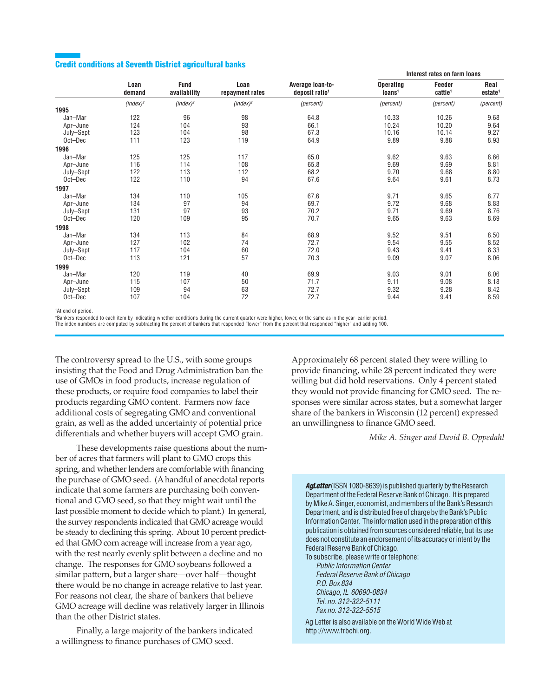## **Credit conditions at Seventh District agricultural banks**

|           |                |                             |                         |                                                | Interest rates on farm loans           |                               |                             |
|-----------|----------------|-----------------------------|-------------------------|------------------------------------------------|----------------------------------------|-------------------------------|-----------------------------|
|           | Loan<br>demand | <b>Fund</b><br>availability | Loan<br>repayment rates | Average loan-to-<br>deposit ratio <sup>1</sup> | <b>Operating</b><br>Ioans <sup>1</sup> | Feeder<br>cattle <sup>1</sup> | Real<br>estate <sup>1</sup> |
|           | $(index)^2$    | $(index)^2$                 | $(index)^2$             | (percent)                                      | (percent)                              | (percent)                     | (percent)                   |
| 1995      |                |                             |                         |                                                |                                        |                               |                             |
| Jan-Mar   | 122            | 96                          | 98                      | 64.8                                           | 10.33                                  | 10.26                         | 9.68                        |
| Apr-June  | 124            | 104                         | 93                      | 66.1                                           | 10.24                                  | 10.20                         | 9.64                        |
| July-Sept | 123            | 104                         | 98                      | 67.3                                           | 10.16                                  | 10.14                         | 9.27                        |
| Oct-Dec   | 111            | 123                         | 119                     | 64.9                                           | 9.89                                   | 9.88                          | 8.93                        |
| 1996      |                |                             |                         |                                                |                                        |                               |                             |
| Jan-Mar   | 125            | 125                         | 117                     | 65.0                                           | 9.62                                   | 9.63                          | 8.66                        |
| Apr-June  | 116            | 114                         | 108                     | 65.8                                           | 9.69                                   | 9.69                          | 8.81                        |
| July-Sept | 122            | 113                         | 112                     | 68.2                                           | 9.70                                   | 9.68                          | 8.80                        |
| Oct-Dec   | 122            | 110                         | 94                      | 67.6                                           | 9.64                                   | 9.61                          | 8.73                        |
| 1997      |                |                             |                         |                                                |                                        |                               |                             |
| Jan-Mar   | 134            | 110                         | 105                     | 67.6                                           | 9.71                                   | 9.65                          | 8.77                        |
| Apr-June  | 134            | 97                          | 94                      | 69.7                                           | 9.72                                   | 9.68                          | 8.83                        |
| July-Sept | 131            | 97                          | 93                      | 70.2                                           | 9.71                                   | 9.69                          | 8.76                        |
| Oct-Dec   | 120            | 109                         | 95                      | 70.7                                           | 9.65                                   | 9.63                          | 8.69                        |
| 1998      |                |                             |                         |                                                |                                        |                               |                             |
| Jan-Mar   | 134            | 113                         | 84                      | 68.9                                           | 9.52                                   | 9.51                          | 8.50                        |
| Apr-June  | 127            | 102                         | 74                      | 72.7                                           | 9.54                                   | 9.55                          | 8.52                        |
| July-Sept | 117            | 104                         | 60                      | 72.0                                           | 9.43                                   | 9.41                          | 8.33                        |
| Oct-Dec   | 113            | 121                         | 57                      | 70.3                                           | 9.09                                   | 9.07                          | 8.06                        |
| 1999      |                |                             |                         |                                                |                                        |                               |                             |
| Jan-Mar   | 120            | 119                         | 40                      | 69.9                                           | 9.03                                   | 9.01                          | 8.06                        |
| Apr-June  | 115            | 107                         | 50                      | 71.7                                           | 9.11                                   | 9.08                          | 8.18                        |
| July-Sept | 109            | 94                          | 63                      | 72.7                                           | 9.32                                   | 9.28                          | 8.42                        |
| Oct-Dec   | 107            | 104                         | 72                      | 72.7                                           | 9.44                                   | 9.41                          | 8.59                        |
|           |                |                             |                         |                                                |                                        |                               |                             |

1 At end of period.

2Bankers responded to each item by indicating whether conditions during the current quarter were higher, lower, or the same as in the year–earlier period.

The index numbers are computed by subtracting the percent of bankers that responded "lower" from the percent that responded "higher" and adding 100.

The controversy spread to the U.S., with some groups insisting that the Food and Drug Administration ban the use of GMOs in food products, increase regulation of these products, or require food companies to label their products regarding GMO content. Farmers now face additional costs of segregating GMO and conventional grain, as well as the added uncertainty of potential price differentials and whether buyers will accept GMO grain.

These developments raise questions about the number of acres that farmers will plant to GMO crops this spring, and whether lenders are comfortable with financing the purchase of GMO seed. (A handful of anecdotal reports indicate that some farmers are purchasing both conventional and GMO seed, so that they might wait until the last possible moment to decide which to plant.) In general, the survey respondents indicated that GMO acreage would be steady to declining this spring. About 10 percent predicted that GMO corn acreage will increase from a year ago, with the rest nearly evenly split between a decline and no change. The responses for GMO soybeans followed a similar pattern, but a larger share—over half—thought there would be no change in acreage relative to last year. For reasons not clear, the share of bankers that believe GMO acreage will decline was relatively larger in Illinois than the other District states.

Finally, a large majority of the bankers indicated a willingness to finance purchases of GMO seed.

Approximately 68 percent stated they were willing to provide financing, while 28 percent indicated they were willing but did hold reservations. Only 4 percent stated they would not provide financing for GMO seed. The responses were similar across states, but a somewhat larger share of the bankers in Wisconsin (12 percent) expressed an unwillingness to finance GMO seed.

*Mike A. Singer and David B. Oppedahl*

**AgLetter** (ISSN 1080-8639) is published quarterly by the Research Department of the Federal Reserve Bank of Chicago. It is prepared by Mike A. Singer, economist, and members of the Bank's Research Department, and is distributed free of charge by the Bank's Public Information Center. The information used in the preparation of this publication is obtained from sources considered reliable, but its use does not constitute an endorsement of its accuracy or intent by the Federal Reserve Bank of Chicago.

To subscribe, please write or telephone: Public Information Center Federal Reserve Bank of Chicago P.O. Box 834 Chicago, IL 60690-0834 Tel. no. 312-322-5111 Fax no. 312-322-5515

Ag Letter is also available on the World Wide Web at http://www.frbchi.org.